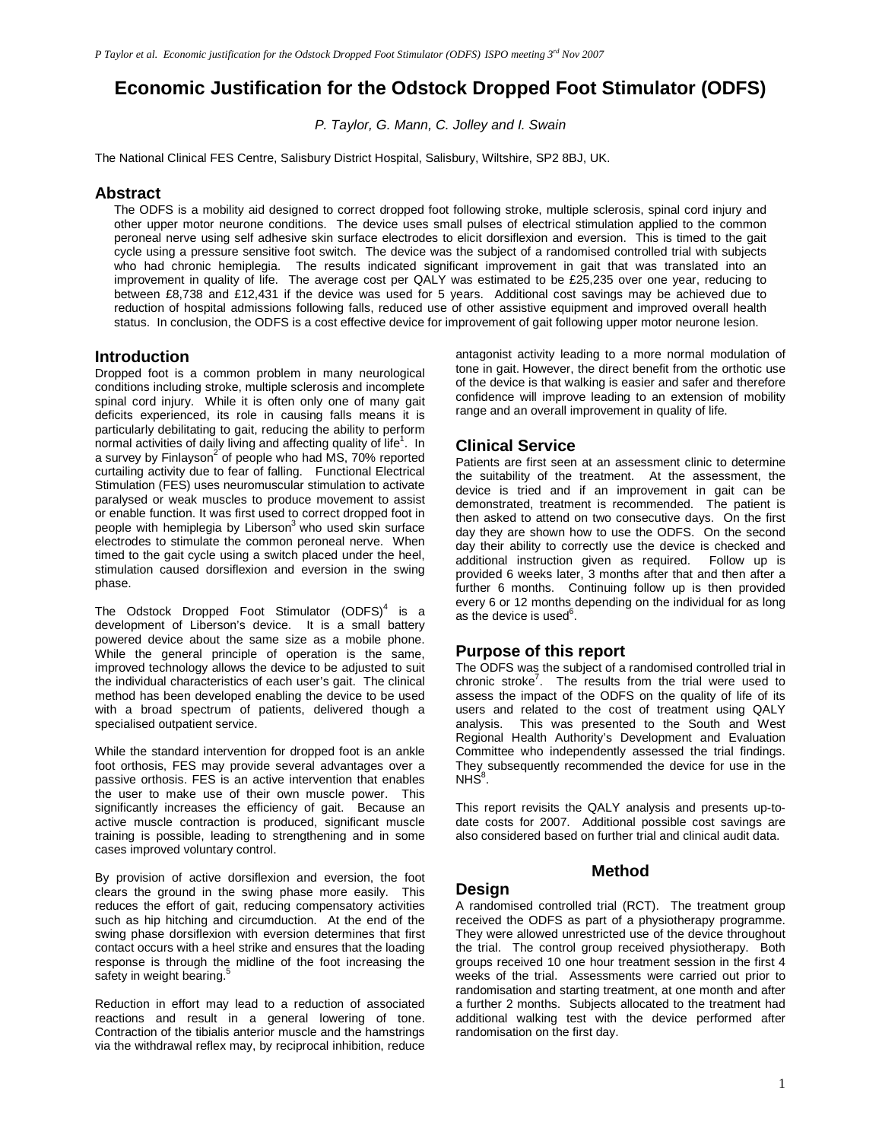# **Economic Justification for the Odstock Dropped Foot Stimulator (ODFS)**

P. Taylor, G. Mann, C. Jolley and I. Swain

The National Clinical FES Centre, Salisbury District Hospital, Salisbury, Wiltshire, SP2 8BJ, UK.

#### **Abstract**

The ODFS is a mobility aid designed to correct dropped foot following stroke, multiple sclerosis, spinal cord injury and other upper motor neurone conditions. The device uses small pulses of electrical stimulation applied to the common peroneal nerve using self adhesive skin surface electrodes to elicit dorsiflexion and eversion. This is timed to the gait cycle using a pressure sensitive foot switch. The device was the subject of a randomised controlled trial with subjects who had chronic hemiplegia. The results indicated significant improvement in gait that was translated into an improvement in quality of life. The average cost per QALY was estimated to be £25,235 over one year, reducing to between £8,738 and £12,431 if the device was used for 5 years. Additional cost savings may be achieved due to reduction of hospital admissions following falls, reduced use of other assistive equipment and improved overall health status. In conclusion, the ODFS is a cost effective device for improvement of gait following upper motor neurone lesion.

#### **Introduction**

Dropped foot is a common problem in many neurological conditions including stroke, multiple sclerosis and incomplete spinal cord injury. While it is often only one of many gait deficits experienced, its role in causing falls means it is particularly debilitating to gait, reducing the ability to perform normal activities of daily living and affecting quality of  $l$ ife<sup>1</sup>. In a survey by Finlayson<sup>2</sup> of people who had MS, 70% reported curtailing activity due to fear of falling. Functional Electrical Stimulation (FES) uses neuromuscular stimulation to activate paralysed or weak muscles to produce movement to assist or enable function. It was first used to correct dropped foot in people with hemiplegia by Liberson<sup>3</sup> who used skin surface electrodes to stimulate the common peroneal nerve. When timed to the gait cycle using a switch placed under the heel, stimulation caused dorsiflexion and eversion in the swing phase.

The Odstock Dropped Foot Stimulator  $(DDFS)^4$  is a development of Liberson's device. It is a small battery powered device about the same size as a mobile phone. While the general principle of operation is the same, improved technology allows the device to be adjusted to suit the individual characteristics of each user's gait. The clinical method has been developed enabling the device to be used with a broad spectrum of patients, delivered though a specialised outpatient service.

While the standard intervention for dropped foot is an ankle foot orthosis, FES may provide several advantages over a passive orthosis. FES is an active intervention that enables the user to make use of their own muscle power. This significantly increases the efficiency of gait. Because an active muscle contraction is produced, significant muscle training is possible, leading to strengthening and in some cases improved voluntary control.

By provision of active dorsiflexion and eversion, the foot clears the ground in the swing phase more easily. This reduces the effort of gait, reducing compensatory activities such as hip hitching and circumduction. At the end of the swing phase dorsiflexion with eversion determines that first contact occurs with a heel strike and ensures that the loading response is through the midline of the foot increasing the safety in weight bearing.<sup>5</sup>

Reduction in effort may lead to a reduction of associated reactions and result in a general lowering of tone. Contraction of the tibialis anterior muscle and the hamstrings via the withdrawal reflex may, by reciprocal inhibition, reduce

antagonist activity leading to a more normal modulation of tone in gait. However, the direct benefit from the orthotic use of the device is that walking is easier and safer and therefore confidence will improve leading to an extension of mobility range and an overall improvement in quality of life.

### **Clinical Service**

Patients are first seen at an assessment clinic to determine the suitability of the treatment. At the assessment, the device is tried and if an improvement in gait can be demonstrated, treatment is recommended. The patient is then asked to attend on two consecutive days. On the first day they are shown how to use the ODFS. On the second day their ability to correctly use the device is checked and additional instruction given as required. Follow up is provided 6 weeks later, 3 months after that and then after a further 6 months. Continuing follow up is then provided every 6 or 12 months depending on the individual for as long as the device is used $6$ .

### **Purpose of this report**

The ODFS was the subject of a randomised controlled trial in chronic stroke<sup>7</sup>. The results from the trial were used to assess the impact of the ODFS on the quality of life of its users and related to the cost of treatment using QALY analysis. This was presented to the South and West Regional Health Authority's Development and Evaluation Committee who independently assessed the trial findings. They subsequently recommended the device for use in the NH $\mathrm{\check{S}}^8$ .

This report revisits the QALY analysis and presents up-todate costs for 2007. Additional possible cost savings are also considered based on further trial and clinical audit data.

#### **Method**

### **Design**

A randomised controlled trial (RCT). The treatment group received the ODFS as part of a physiotherapy programme. They were allowed unrestricted use of the device throughout the trial. The control group received physiotherapy. Both groups received 10 one hour treatment session in the first 4 weeks of the trial. Assessments were carried out prior to randomisation and starting treatment, at one month and after a further 2 months. Subjects allocated to the treatment had additional walking test with the device performed after randomisation on the first day.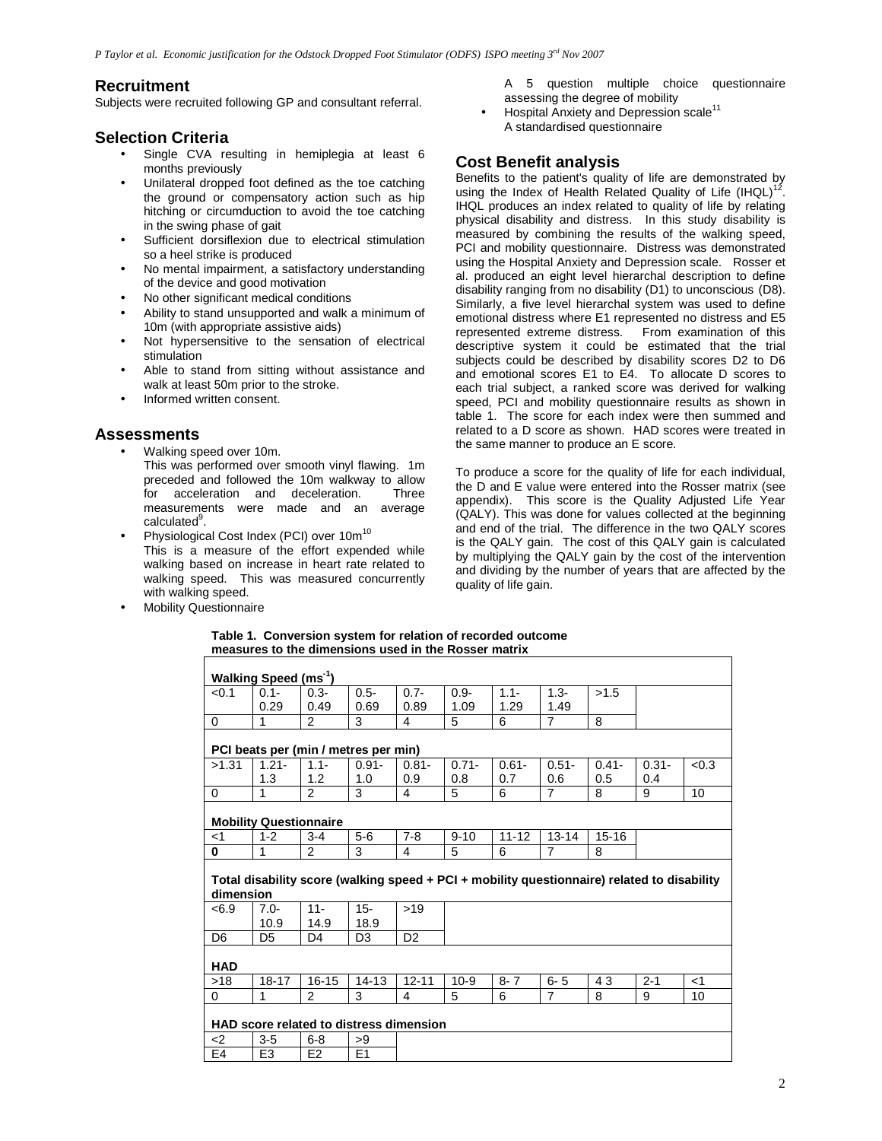## **Recruitment**

Subjects were recruited following GP and consultant referral.

## **Selection Criteria**

- Single CVA resulting in hemiplegia at least 6 months previously
- Unilateral dropped foot defined as the toe catching the ground or compensatory action such as hip hitching or circumduction to avoid the toe catching in the swing phase of gait
- Sufficient dorsiflexion due to electrical stimulation so a heel strike is produced
- No mental impairment, a satisfactory understanding of the device and good motivation
- No other significant medical conditions
- Ability to stand unsupported and walk a minimum of 10m (with appropriate assistive aids)
- Not hypersensitive to the sensation of electrical stimulation
- Able to stand from sitting without assistance and walk at least 50m prior to the stroke.
- Informed written consent.

### **Assessments**

- Walking speed over 10m. This was performed over smooth vinyl flawing. 1m preceded and followed the 10m walkway to allow for acceleration and deceleration. Three measurements were made and an average calculated<sup>9</sup>.
- Physiological Cost Index (PCI) over 10m<sup>10</sup> This is a measure of the effort expended while walking based on increase in heart rate related to walking speed. This was measured concurrently with walking speed.
- **Mobility Questionnaire**
- A 5 question multiple choice questionnaire assessing the degree of mobility
- Hospital Anxiety and Depression scale<sup>11</sup> A standardised questionnaire

# **Cost Benefit analysis**

Benefits to the patient's quality of life are demonstrated by using the Index of Health Related Quality of Life  $(HQL)^{12}$ . IHQL produces an index related to quality of life by relating physical disability and distress. In this study disability is measured by combining the results of the walking speed, PCI and mobility questionnaire. Distress was demonstrated using the Hospital Anxiety and Depression scale. Rosser et al. produced an eight level hierarchal description to define disability ranging from no disability (D1) to unconscious (D8). Similarly, a five level hierarchal system was used to define emotional distress where E1 represented no distress and E5 represented extreme distress. From examination of this descriptive system it could be estimated that the trial subjects could be described by disability scores D2 to D6 and emotional scores E1 to E4. To allocate D scores to each trial subject, a ranked score was derived for walking speed, PCI and mobility questionnaire results as shown in table 1. The score for each index were then summed and related to a D score as shown. HAD scores were treated in the same manner to produce an E score.

To produce a score for the quality of life for each individual, the D and E value were entered into the Rosser matrix (see appendix). This score is the Quality Adjusted Life Year (QALY). This was done for values collected at the beginning and end of the trial. The difference in the two QALY scores is the QALY gain. The cost of this QALY gain is calculated by multiplying the QALY gain by the cost of the intervention and dividing by the number of years that are affected by the quality of life gain.

#### **Table 1. Conversion system for relation of recorded outcome measures to the dimensions used in the Rosser matrix**

|                | Walking Speed (ms <sup>-1</sup> ) |                                      |                |                                                                                             |          |           |                |           |          |       |
|----------------|-----------------------------------|--------------------------------------|----------------|---------------------------------------------------------------------------------------------|----------|-----------|----------------|-----------|----------|-------|
|                |                                   |                                      |                |                                                                                             |          |           |                |           |          |       |
| < 0.1          | $0.1 -$                           | $0.3 -$                              | $0.5 -$        | $0.7 -$                                                                                     | $0.9 -$  | $1.1 -$   | $1.3 -$        | >1.5      |          |       |
|                | 0.29                              | 0.49                                 | 0.69           | 0.89                                                                                        | 1.09     | 1.29      | 1.49           |           |          |       |
| 0              | 1                                 | 2                                    | 3              | 4                                                                                           | 5        | 6         | $\overline{7}$ | 8         |          |       |
|                |                                   |                                      |                |                                                                                             |          |           |                |           |          |       |
|                |                                   | PCI beats per (min / metres per min) |                |                                                                                             |          |           |                |           |          |       |
| >1.31          | $1.21 -$                          | $1.1 -$                              | $0.91 -$       | $0.81 -$                                                                                    | $0.71 -$ | $0.61 -$  | $0.51 -$       | $0.41 -$  | $0.31 -$ | < 0.3 |
|                | 1.3                               | 1.2                                  | 1.0            | 0.9                                                                                         | 0.8      | 0.7       | 0.6            | 0.5       | 0.4      |       |
| $\Omega$       | 1                                 | $\overline{2}$                       | 3              | 4                                                                                           | 5        | 6         | $\overline{7}$ | 8         | 9        | 10    |
|                |                                   |                                      |                |                                                                                             |          |           |                |           |          |       |
|                | <b>Mobility Questionnaire</b>     |                                      |                |                                                                                             |          |           |                |           |          |       |
| $<$ 1          | $1 - 2$                           | $3 - 4$                              | $5-6$          | $7 - 8$                                                                                     | $9 - 10$ | $11 - 12$ | $13 - 14$      | $15 - 16$ |          |       |
| 0              | 1                                 | $\mathcal{P}$                        | 3              | 4                                                                                           | 5        | 6         | $\overline{7}$ | 8         |          |       |
| dimension      |                                   |                                      |                | Total disability score (walking speed + PCI + mobility questionnaire) related to disability |          |           |                |           |          |       |
| <6.9           | $7.0 -$                           | $11 -$                               | $15 -$         | >19                                                                                         |          |           |                |           |          |       |
|                | 10.9                              | 14.9                                 | 18.9           |                                                                                             |          |           |                |           |          |       |
| D <sub>6</sub> | D <sub>5</sub>                    | D <sub>4</sub>                       | D <sub>3</sub> | D <sub>2</sub>                                                                              |          |           |                |           |          |       |
| <b>HAD</b>     |                                   |                                      |                |                                                                                             |          |           |                |           |          |       |
| $>18$          | $18 - 17$                         | $16 - 15$                            | $14 - 13$      | $12 - 11$                                                                                   | $10-9$   | $8 - 7$   | $6 - 5$        | 43        | $2 - 1$  | $<$ 1 |
| 0              | 1                                 | $\mathfrak{p}$                       | 3              | 4                                                                                           | 5        | 6         | $\overline{7}$ | 8         | 9        | 10    |
|                |                                   |                                      |                |                                                                                             |          |           |                |           |          |       |
|                |                                   |                                      |                | HAD score related to distress dimension                                                     |          |           |                |           |          |       |
| $2$            | $3-5$                             | $6 - 8$                              | >9             |                                                                                             |          |           |                |           |          |       |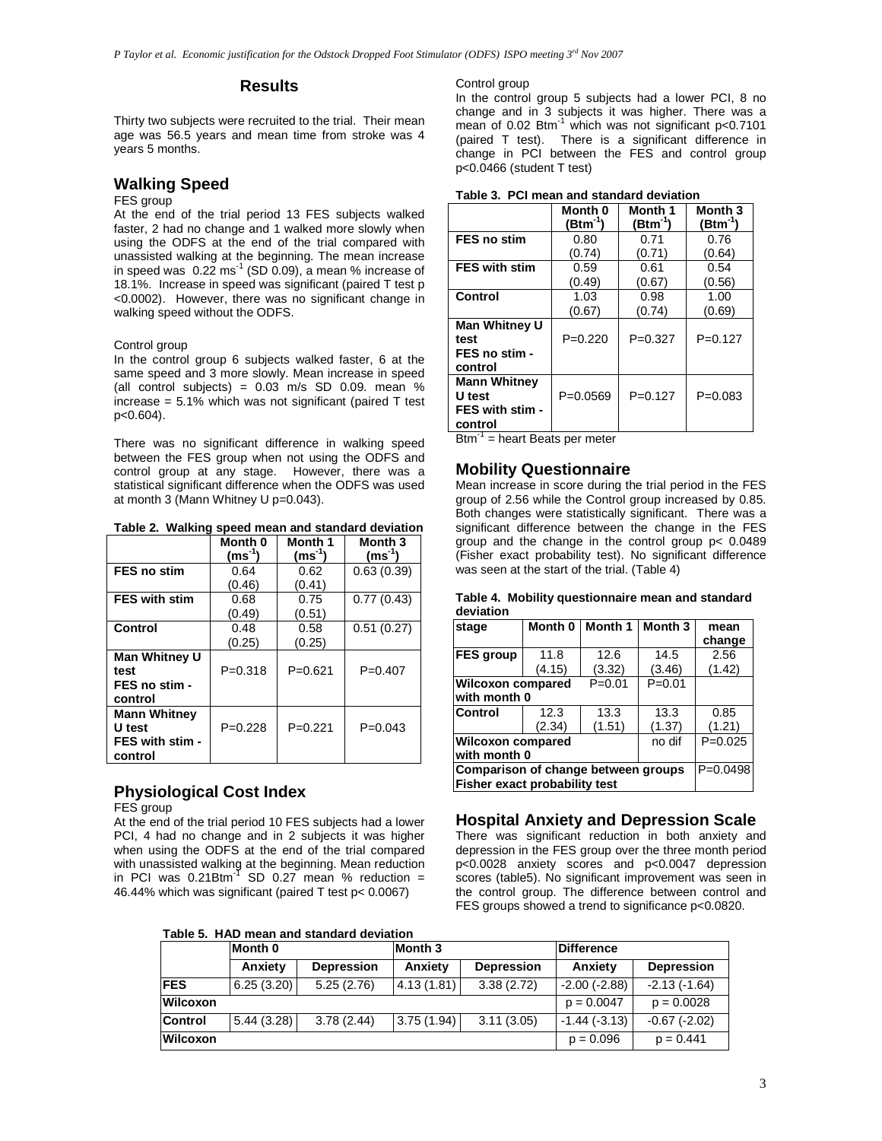#### **Results**

Thirty two subjects were recruited to the trial. Their mean age was 56.5 years and mean time from stroke was 4 years 5 months.

# **Walking Speed**

#### FES group

At the end of the trial period 13 FES subjects walked faster, 2 had no change and 1 walked more slowly when using the ODFS at the end of the trial compared with unassisted walking at the beginning. The mean increase in speed was  $0.22 \text{ ms}^{-1}$  (SD  $0.09$ ), a mean % increase of 18.1%. Increase in speed was significant (paired T test p <0.0002). However, there was no significant change in walking speed without the ODFS.

#### Control group

In the control group 6 subjects walked faster, 6 at the same speed and 3 more slowly. Mean increase in speed (all control subjects) =  $0.03$  m/s SD 0.09. mean % increase  $= 5.1\%$  which was not significant (paired T test p<0.604).

There was no significant difference in walking speed between the FES group when not using the ODFS and control group at any stage. However, there was a statistical significant difference when the ODFS was used at month 3 (Mann Whitney U p=0.043).

**Table 2. Walking speed mean and standard deviation** 

|                      | Month 0<br>$(ms^{-1})$ | Month 1<br>(ms <sup>-1</sup> ) | Month 3<br>$(ms^{-1})$ |
|----------------------|------------------------|--------------------------------|------------------------|
| <b>FES no stim</b>   | 0.64                   | 0.62                           | 0.63(0.39)             |
|                      | (0.46)                 | (0.41)                         |                        |
| <b>FES with stim</b> | 0.68                   | 0.75                           | 0.77(0.43)             |
|                      | (0.49)                 | (0.51)                         |                        |
| Control              | 0.48                   | 0.58                           | 0.51(0.27)             |
|                      | (0.25)                 | (0.25)                         |                        |
| Man Whitney U        |                        |                                |                        |
| test                 | $P = 0.318$            | $P = 0.621$                    | $P = 0.407$            |
| FES no stim -        |                        |                                |                        |
| control              |                        |                                |                        |
| <b>Mann Whitney</b>  |                        |                                |                        |
| U test               | $P=0.228$              | $P = 0.221$                    | $P=0.043$              |
| FES with stim -      |                        |                                |                        |
| control              |                        |                                |                        |

# **Physiological Cost Index**

FES group

At the end of the trial period 10 FES subjects had a lower PCI, 4 had no change and in 2 subjects it was higher when using the ODFS at the end of the trial compared with unassisted walking at the beginning. Mean reduction in PCI was  $0.21B$ tm<sup>-1</sup> SD 0.27 mean % reduction = 46.44% which was significant (paired T test p< 0.0067)

**Table 5. HAD mean and standard deviation** 

Control group

In the control group 5 subjects had a lower PCI, 8 no change and in 3 subjects it was higher. There was a mean of 0.02  $\text{Btm}^{-1}$  which was not significant p<0.7101 (paired T test). There is a significant difference in change in PCI between the FES and control group p<0.0466 (student T test)

|                                                             | Month 0<br>(Btm <sup>-1</sup> ) | Month 1<br>(Btm <sup>-1</sup> ) | Month <sub>3</sub><br>(Btm'') |  |  |  |  |  |
|-------------------------------------------------------------|---------------------------------|---------------------------------|-------------------------------|--|--|--|--|--|
| <b>FES no stim</b>                                          | 0.80                            | 0.71                            | 0.76                          |  |  |  |  |  |
|                                                             | (0.74)                          | (0.71)                          | (0.64)                        |  |  |  |  |  |
| <b>FES with stim</b>                                        | 0.59                            | 0.61                            | 0.54                          |  |  |  |  |  |
|                                                             | (0.49)                          | (0.67)                          | (0.56)                        |  |  |  |  |  |
| Control                                                     | 1.03                            | 0.98                            | 1.00                          |  |  |  |  |  |
|                                                             | (0.67)                          | (0.74)                          | (0.69)                        |  |  |  |  |  |
| Man Whitney U<br>test<br>FES no stim -<br>control           | $P=0.220$                       | $P=0.327$                       | $P = 0.127$                   |  |  |  |  |  |
| <b>Mann Whitney</b><br>U test<br>FES with stim -<br>control | $P=0.0569$                      | $P=0.127$                       | $P = 0.083$                   |  |  |  |  |  |

|  |  | Table 3. PCI mean and standard deviation |  |
|--|--|------------------------------------------|--|
|--|--|------------------------------------------|--|

 $B$ tm<sup>-1</sup> = heart Beats per meter

#### **Mobility Questionnaire**

Mean increase in score during the trial period in the FES group of 2.56 while the Control group increased by 0.85. Both changes were statistically significant. There was a significant difference between the change in the FES group and the change in the control group p< 0.0489 (Fisher exact probability test). No significant difference was seen at the start of the trial. (Table 4)

|           | Table 4. Mobility questionnaire mean and standard |
|-----------|---------------------------------------------------|
| deviation |                                                   |

| stage                                                                | Month 0    | Month 1    | Month 3 | mean   |
|----------------------------------------------------------------------|------------|------------|---------|--------|
|                                                                      |            |            |         | change |
| <b>FES</b> group                                                     | 11.8       | 12.6       | 14.5    | 2.56   |
|                                                                      | (4.15)     | (3.32)     | (3.46)  | (1.42) |
| <b>Wilcoxon compared</b><br>with month 0                             |            | $P = 0.01$ |         |        |
| <b>Control</b>                                                       | 12.3       | 13.3       | 13.3    | 0.85   |
|                                                                      | (2.34)     | (1.51)     | (1.37)  | (1.21) |
| <b>Wilcoxon compared</b><br>with month 0                             | no dif     | $P=0.025$  |         |        |
| Comparison of change between groups<br>Fisher exact probability test | $P=0.0498$ |            |         |        |

### **Hospital Anxiety and Depression Scale**

There was significant reduction in both anxiety and depression in the FES group over the three month period p<0.0028 anxiety scores and p<0.0047 depression scores (table5). No significant improvement was seen in the control group. The difference between control and FES groups showed a trend to significance p<0.0820.

|            |            | Taple J. TIAD Hieali and Standard deviation |            |                   |                   |                   |
|------------|------------|---------------------------------------------|------------|-------------------|-------------------|-------------------|
|            | Month 0    |                                             | Month 3    |                   | <b>Difference</b> |                   |
|            | Anxiety    | <b>Depression</b>                           | Anxiety    | <b>Depression</b> | Anxiety           | <b>Depression</b> |
| <b>FES</b> | 6.25(3.20) | 5.25(2.76)                                  | 4.13(1.81) | 3.38(2.72)        | $-2.00$ $(-2.88)$ | $-2.13(-1.64)$    |
| Wilcoxon   |            |                                             |            |                   | $p = 0.0047$      | $p = 0.0028$      |
| Control    | 5.44(3.28) | 3.78(2.44)                                  | 3.75(1.94) | 3.11(3.05)        | $-1.44(-3.13)$    | $-0.67(-2.02)$    |
| Wilcoxon   |            |                                             |            |                   | $p = 0.096$       | $p = 0.441$       |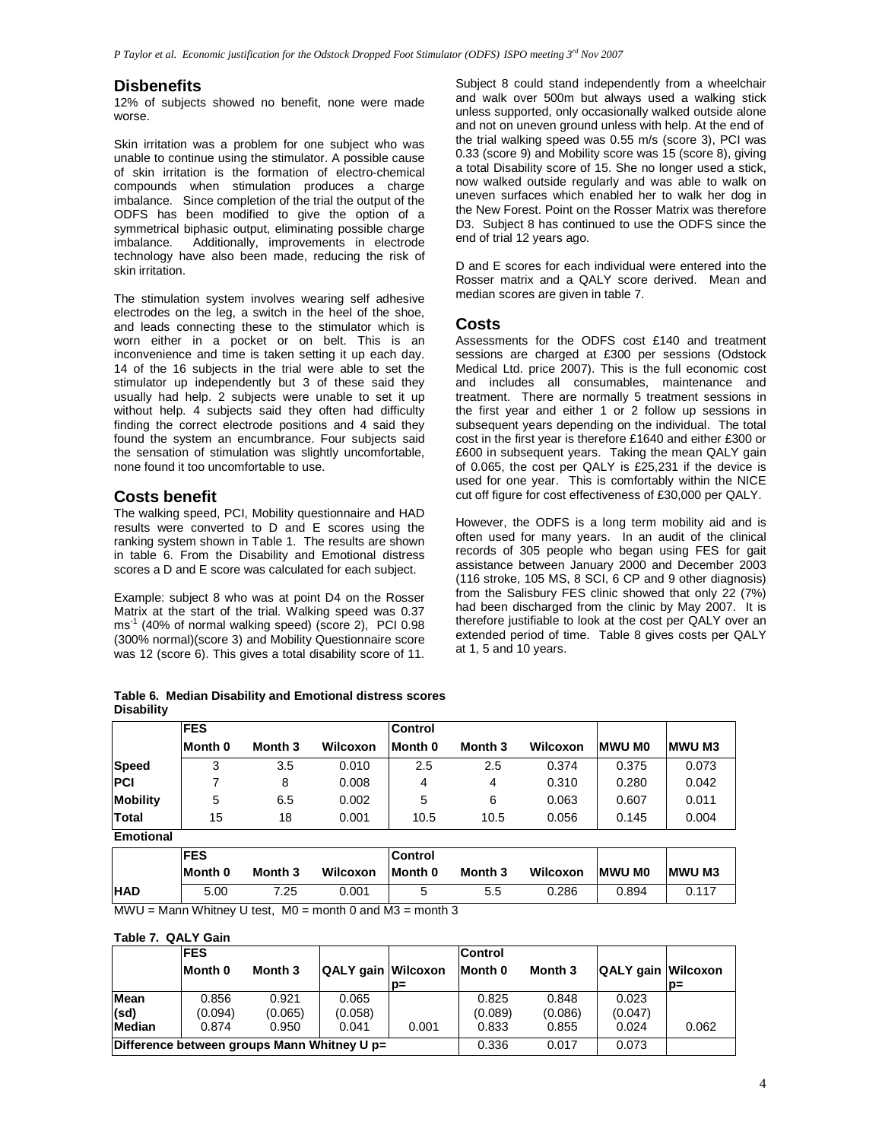### **Disbenefits**

12% of subjects showed no benefit, none were made worse.

Skin irritation was a problem for one subject who was unable to continue using the stimulator. A possible cause of skin irritation is the formation of electro-chemical compounds when stimulation produces a charge imbalance. Since completion of the trial the output of the ODFS has been modified to give the option of a symmetrical biphasic output, eliminating possible charge imbalance. Additionally, improvements in electrode technology have also been made, reducing the risk of skin irritation.

The stimulation system involves wearing self adhesive electrodes on the leg, a switch in the heel of the shoe, and leads connecting these to the stimulator which is worn either in a pocket or on belt. This is an inconvenience and time is taken setting it up each day. 14 of the 16 subjects in the trial were able to set the stimulator up independently but 3 of these said they usually had help. 2 subjects were unable to set it up without help. 4 subjects said they often had difficulty finding the correct electrode positions and 4 said they found the system an encumbrance. Four subjects said the sensation of stimulation was slightly uncomfortable, none found it too uncomfortable to use.

### **Costs benefit**

The walking speed, PCI, Mobility questionnaire and HAD results were converted to D and E scores using the ranking system shown in Table 1. The results are shown in table 6. From the Disability and Emotional distress scores a D and E score was calculated for each subject.

Example: subject 8 who was at point D4 on the Rosser Matrix at the start of the trial. Walking speed was 0.37 ms<sup>-1</sup> (40% of normal walking speed) (score 2), PCI 0.98 (300% normal)(score 3) and Mobility Questionnaire score was 12 (score 6). This gives a total disability score of 11.

|                   |  | Table 6. Median Disability and Emotional distress scores |
|-------------------|--|----------------------------------------------------------|
| <b>Disability</b> |  |                                                          |

Subject 8 could stand independently from a wheelchair and walk over 500m but always used a walking stick unless supported, only occasionally walked outside alone and not on uneven ground unless with help. At the end of the trial walking speed was 0.55 m/s (score 3), PCI was 0.33 (score 9) and Mobility score was 15 (score 8), giving a total Disability score of 15. She no longer used a stick, now walked outside regularly and was able to walk on uneven surfaces which enabled her to walk her dog in the New Forest. Point on the Rosser Matrix was therefore D3. Subject 8 has continued to use the ODFS since the end of trial 12 years ago.

D and E scores for each individual were entered into the Rosser matrix and a QALY score derived. Mean and median scores are given in table 7.

#### **Costs**

Assessments for the ODFS cost £140 and treatment sessions are charged at £300 per sessions (Odstock Medical Ltd. price 2007). This is the full economic cost and includes all consumables, maintenance and treatment. There are normally 5 treatment sessions in the first year and either 1 or 2 follow up sessions in subsequent years depending on the individual. The total cost in the first year is therefore £1640 and either £300 or £600 in subsequent years. Taking the mean QALY gain of 0.065, the cost per QALY is £25,231 if the device is used for one year. This is comfortably within the NICE cut off figure for cost effectiveness of £30,000 per QALY.

However, the ODFS is a long term mobility aid and is often used for many years. In an audit of the clinical records of 305 people who began using FES for gait assistance between January 2000 and December 2003 (116 stroke, 105 MS, 8 SCI, 6 CP and 9 other diagnosis) from the Salisbury FES clinic showed that only 22 (7%) had been discharged from the clinic by May 2007. It is therefore justifiable to look at the cost per QALY over an extended period of time. Table 8 gives costs per QALY at 1, 5 and 10 years.

|                  | <b>FES</b> |         |          | Control |         |          |                |               |
|------------------|------------|---------|----------|---------|---------|----------|----------------|---------------|
|                  | Month 0    | Month 3 | Wilcoxon | Month 0 | Month 3 | Wilcoxon | <b>IMWU MO</b> | <b>MWU M3</b> |
| <b>Speed</b>     | 3          | 3.5     | 0.010    | 2.5     | 2.5     | 0.374    | 0.375          | 0.073         |
| <b>PCI</b>       |            | 8       | 0.008    | 4       | 4       | 0.310    | 0.280          | 0.042         |
| <b>Mobility</b>  | 5          | 6.5     | 0.002    | 5       | 6       | 0.063    | 0.607          | 0.011         |
| <b>Total</b>     | 15         | 18      | 0.001    | 10.5    | 10.5    | 0.056    | 0.145          | 0.004         |
| <b>Emotional</b> |            |         |          |         |         |          |                |               |

|               | <b>IFES</b> |         |                                                                                                         | <b>Control</b>                            |         |          |                |              |
|---------------|-------------|---------|---------------------------------------------------------------------------------------------------------|-------------------------------------------|---------|----------|----------------|--------------|
|               | Month 0     | Month 3 | Wilcoxon                                                                                                | Month 0                                   | Month 3 | Wilcoxon | <b>IMWU MO</b> | <b>MWUM3</b> |
| <b>HAD</b>    | 5.00        | 7.25    | 0.001                                                                                                   |                                           | 5.5     | 0.286    | 0.894          | 0.117        |
| <b>BAALLE</b> |             |         | $M_{\text{max}}$ $M/L_{\text{max}}$ $M_{\text{max}}$ $M_{\text{max}}$ $M_{\text{max}}$ $M_{\text{max}}$ | $\sim$ $\sim$ $\sim$ $\sim$ $\sim$ $\sim$ |         |          |                |              |

MWU = Mann Whitney U test,  $MO =$  month 0 and  $M3 =$  month 3

### **Table 7. QALY Gain**

|                                             | <b>FES</b> |         |                           |       | <b>Control</b> |         |                           |       |
|---------------------------------------------|------------|---------|---------------------------|-------|----------------|---------|---------------------------|-------|
|                                             | Month 0    | Month 3 | <b>QALY gain Wilcoxon</b> |       | Month 0        | Month 3 | <b>QALY gain Wilcoxon</b> |       |
|                                             |            |         |                           | D=    |                |         |                           | D=    |
| Mean                                        | 0.856      | 0.921   | 0.065                     |       | 0.825          | 0.848   | 0.023                     |       |
| (sd)                                        | (0.094)    | (0.065) | (0.058)                   |       | (0.089)        | (0.086) | (0.047)                   |       |
| Median                                      | 0.874      | 0.950   | 0.041                     | 0.001 | 0.833          | 0.855   | 0.024                     | 0.062 |
| Difference between groups Mann Whitney U p= |            |         |                           |       | 0.336          | 0.017   | 0.073                     |       |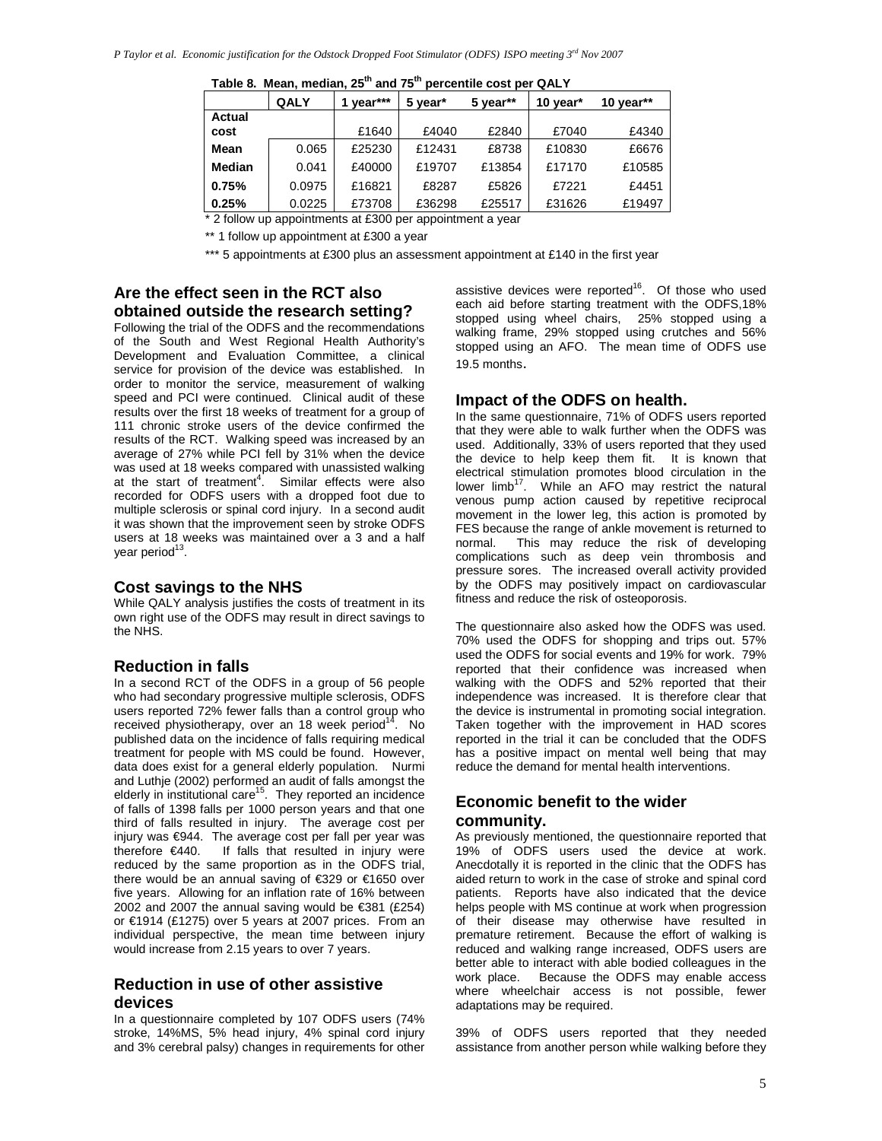|               | <b>QALY</b> | year*** | 5 year* | 5 year** | 10 year* | 10 year $**$ |  |  |  |  |  |
|---------------|-------------|---------|---------|----------|----------|--------------|--|--|--|--|--|
| Actual        |             |         |         |          |          |              |  |  |  |  |  |
| cost          |             | £1640   | £4040   | £2840    | £7040    | £4340        |  |  |  |  |  |
| Mean          | 0.065       | £25230  | £12431  | £8738    | £10830   | £6676        |  |  |  |  |  |
| <b>Median</b> | 0.041       | £40000  | £19707  | £13854   | £17170   | £10585       |  |  |  |  |  |
| 0.75%         | 0.0975      | £16821  | £8287   | £5826    | £7221    | £4451        |  |  |  |  |  |
| 0.25%         | 0.0225      | £73708  | £36298  | £25517   | £31626   | £19497       |  |  |  |  |  |

**Table 8. Mean, median, 25th and 75th percentile cost per QALY** 

\* 2 follow up appointments at £300 per appointment a year

\*\* 1 follow up appointment at £300 a year

\*\*\* 5 appointments at £300 plus an assessment appointment at £140 in the first year

### **Are the effect seen in the RCT also obtained outside the research setting?**

Following the trial of the ODFS and the recommendations of the South and West Regional Health Authority's Development and Evaluation Committee, a clinical service for provision of the device was established. In order to monitor the service, measurement of walking speed and PCI were continued. Clinical audit of these results over the first 18 weeks of treatment for a group of 111 chronic stroke users of the device confirmed the results of the RCT. Walking speed was increased by an average of 27% while PCI fell by 31% when the device was used at 18 weeks compared with unassisted walking at the start of treatment<sup>4</sup>. Similar effects were also recorded for ODFS users with a dropped foot due to multiple sclerosis or spinal cord injury. In a second audit it was shown that the improvement seen by stroke ODFS users at 18 weeks was maintained over a 3 and a half year period<sup>13</sup>.

### **Cost savings to the NHS**

While QALY analysis justifies the costs of treatment in its own right use of the ODFS may result in direct savings to the NHS.

### **Reduction in falls**

In a second RCT of the ODFS in a group of 56 people who had secondary progressive multiple sclerosis, ODFS users reported 72% fewer falls than a control group who received physiotherapy, over an 18 week period<sup>14</sup>. No published data on the incidence of falls requiring medical treatment for people with MS could be found. However, data does exist for a general elderly population. Nurmi and Luthje (2002) performed an audit of falls amongst the elderly in institutional care $15$ . They reported an incidence of falls of 1398 falls per 1000 person years and that one third of falls resulted in injury. The average cost per injury was €944. The average cost per fall per year was therefore €440. If falls that resulted in injury were reduced by the same proportion as in the ODFS trial, there would be an annual saving of €329 or €1650 over five years. Allowing for an inflation rate of 16% between 2002 and 2007 the annual saving would be €381 (£254) or €1914 (£1275) over 5 years at 2007 prices. From an individual perspective, the mean time between injury would increase from 2.15 years to over 7 years.

### **Reduction in use of other assistive devices**

In a questionnaire completed by 107 ODFS users (74% stroke, 14%MS, 5% head injury, 4% spinal cord injury and 3% cerebral palsy) changes in requirements for other assistive devices were reported<sup>16</sup>. Of those who used each aid before starting treatment with the ODFS,18% stopped using wheel chairs, 25% stopped using a walking frame, 29% stopped using crutches and 56% stopped using an AFO. The mean time of ODFS use 19.5 months.

### **Impact of the ODFS on health.**

In the same questionnaire, 71% of ODFS users reported that they were able to walk further when the ODFS was used. Additionally, 33% of users reported that they used the device to help keep them fit. It is known that electrical stimulation promotes blood circulation in the lower limb<sup>17</sup>. While an AFO may restrict the natural venous pump action caused by repetitive reciprocal movement in the lower leg, this action is promoted by FES because the range of ankle movement is returned to normal. This may reduce the risk of developing complications such as deep vein thrombosis and pressure sores. The increased overall activity provided by the ODFS may positively impact on cardiovascular fitness and reduce the risk of osteoporosis.

The questionnaire also asked how the ODFS was used. 70% used the ODFS for shopping and trips out. 57% used the ODFS for social events and 19% for work. 79% reported that their confidence was increased when walking with the ODFS and 52% reported that their independence was increased. It is therefore clear that the device is instrumental in promoting social integration. Taken together with the improvement in HAD scores reported in the trial it can be concluded that the ODFS has a positive impact on mental well being that may reduce the demand for mental health interventions.

### **Economic benefit to the wider community.**

As previously mentioned, the questionnaire reported that 19% of ODFS users used the device at work. Anecdotally it is reported in the clinic that the ODFS has aided return to work in the case of stroke and spinal cord patients. Reports have also indicated that the device helps people with MS continue at work when progression of their disease may otherwise have resulted in premature retirement. Because the effort of walking is reduced and walking range increased, ODFS users are better able to interact with able bodied colleagues in the work place. Because the ODFS may enable access where wheelchair access is not possible, fewer adaptations may be required.

39% of ODFS users reported that they needed assistance from another person while walking before they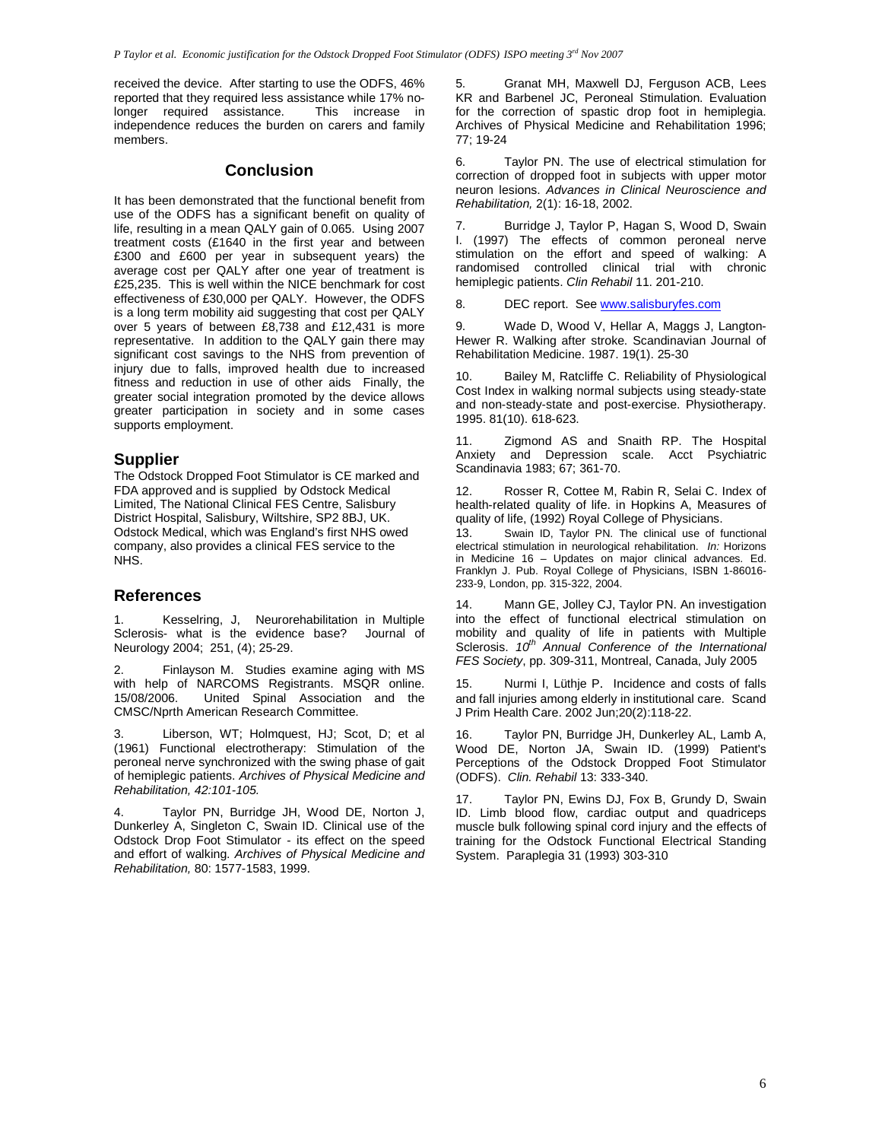received the device. After starting to use the ODFS, 46% reported that they required less assistance while 17% no-<br>longer required assistance. This increase in longer required assistance. independence reduces the burden on carers and family members.

### **Conclusion**

It has been demonstrated that the functional benefit from use of the ODFS has a significant benefit on quality of life, resulting in a mean QALY gain of 0.065. Using 2007 treatment costs (£1640 in the first year and between £300 and £600 per year in subsequent years) the average cost per QALY after one year of treatment is £25,235. This is well within the NICE benchmark for cost effectiveness of £30,000 per QALY. However, the ODFS is a long term mobility aid suggesting that cost per QALY over 5 years of between £8,738 and £12,431 is more representative. In addition to the QALY gain there may significant cost savings to the NHS from prevention of injury due to falls, improved health due to increased fitness and reduction in use of other aids Finally, the greater social integration promoted by the device allows greater participation in society and in some cases supports employment.

### **Supplier**

The Odstock Dropped Foot Stimulator is CE marked and FDA approved and is supplied by Odstock Medical Limited, The National Clinical FES Centre, Salisbury District Hospital, Salisbury, Wiltshire, SP2 8BJ, UK. Odstock Medical, which was England's first NHS owed company, also provides a clinical FES service to the NHS.

### **References**

Kesselring, J, Neurorehabilitation in Multiple Sclerosis- what is the evidence base? Journal of Neurology 2004; 251, (4); 25-29.

2. Finlayson M. Studies examine aging with MS with help of NARCOMS Registrants. MSQR online.<br>15/08/2006. United Spinal Association and the United Spinal Association and the CMSC/Nprth American Research Committee.

Liberson, WT; Holmquest, HJ; Scot, D; et al. (1961) Functional electrotherapy: Stimulation of the peroneal nerve synchronized with the swing phase of gait of hemiplegic patients. Archives of Physical Medicine and Rehabilitation, 42:101-105.

4. Taylor PN, Burridge JH, Wood DE, Norton J, Dunkerley A, Singleton C, Swain ID. Clinical use of the Odstock Drop Foot Stimulator - its effect on the speed and effort of walking. Archives of Physical Medicine and Rehabilitation, 80: 1577-1583, 1999.

5. Granat MH, Maxwell DJ, Ferguson ACB, Lees KR and Barbenel JC, Peroneal Stimulation. Evaluation for the correction of spastic drop foot in hemiplegia. Archives of Physical Medicine and Rehabilitation 1996; 77; 19-24

6. Taylor PN. The use of electrical stimulation for correction of dropped foot in subjects with upper motor neuron lesions. Advances in Clinical Neuroscience and Rehabilitation, 2(1): 16-18, 2002.

7. Burridge J, Taylor P, Hagan S, Wood D, Swain I. (1997) The effects of common peroneal nerve stimulation on the effort and speed of walking: A randomised controlled clinical trial with chronic hemiplegic patients. Clin Rehabil 11. 201-210.

8. DEC report. See www.salisburyfes.com

9. Wade D, Wood V, Hellar A, Maggs J, Langton-Hewer R. Walking after stroke. Scandinavian Journal of Rehabilitation Medicine. 1987. 19(1). 25-30

10. Bailey M, Ratcliffe C. Reliability of Physiological Cost Index in walking normal subjects using steady-state and non-steady-state and post-exercise. Physiotherapy. 1995. 81(10). 618-623.

11. Zigmond AS and Snaith RP. The Hospital Anxiety and Depression scale. Acct Psychiatric Scandinavia 1983; 67; 361-70.

12. Rosser R, Cottee M, Rabin R, Selai C. Index of health-related quality of life. in Hopkins A, Measures of quality of life, (1992) Royal College of Physicians.

13. Swain ID, Taylor PN. The clinical use of functional electrical stimulation in neurological rehabilitation. In: Horizons in Medicine 16 – Updates on major clinical advances. Ed. Franklyn J. Pub. Royal College of Physicians, ISBN 1-86016- 233-9, London, pp. 315-322, 2004.

14. Mann GE, Jolley CJ, Taylor PN. An investigation into the effect of functional electrical stimulation on mobility and quality of life in patients with Multiple<br>Sclerosis. 10<sup>th</sup> Annual Conference of the International FES Society, pp. 309-311, Montreal, Canada, July 2005

15. Nurmi I, Lüthje P. Incidence and costs of falls and fall injuries among elderly in institutional care. Scand J Prim Health Care. 2002 Jun;20(2):118-22.

16. Taylor PN, Burridge JH, Dunkerley AL, Lamb A, Wood DE, Norton JA, Swain ID. (1999) Patient's Perceptions of the Odstock Dropped Foot Stimulator (ODFS). Clin. Rehabil 13: 333-340.

17. Taylor PN, Ewins DJ, Fox B, Grundy D, Swain ID. Limb blood flow, cardiac output and quadriceps muscle bulk following spinal cord injury and the effects of training for the Odstock Functional Electrical Standing System. Paraplegia 31 (1993) 303-310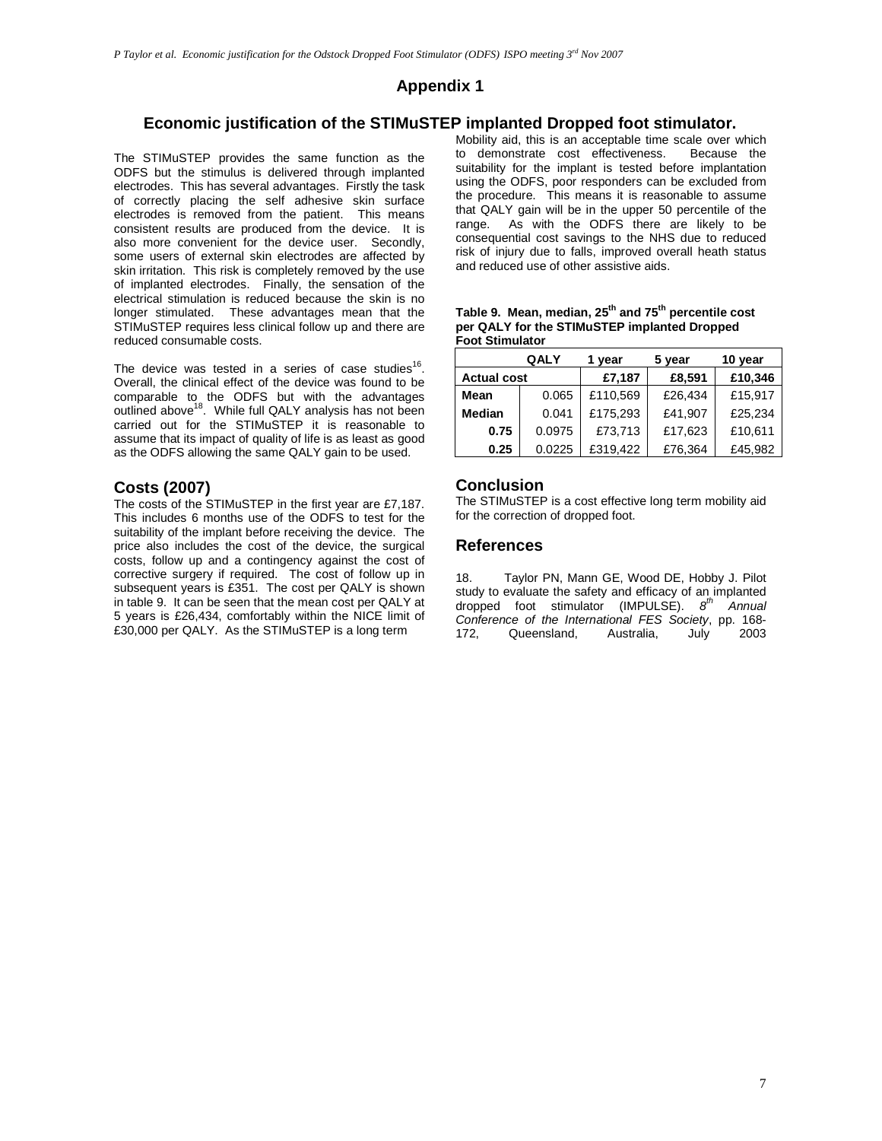# **Appendix 1**

# **Economic justification of the STIMuSTEP implanted Dropped foot stimulator.**

The STIMuSTEP provides the same function as the ODFS but the stimulus is delivered through implanted electrodes. This has several advantages. Firstly the task of correctly placing the self adhesive skin surface electrodes is removed from the patient. This means consistent results are produced from the device. It is also more convenient for the device user. Secondly, some users of external skin electrodes are affected by skin irritation. This risk is completely removed by the use of implanted electrodes. Finally, the sensation of the electrical stimulation is reduced because the skin is no longer stimulated. These advantages mean that the STIMuSTEP requires less clinical follow up and there are reduced consumable costs.

The device was tested in a series of case studies<sup>16</sup>. Overall, the clinical effect of the device was found to be comparable to the ODFS but with the advantages<br>outlined above<sup>18</sup>. While full QALY analysis has not been carried out for the STIMuSTEP it is reasonable to assume that its impact of quality of life is as least as good as the ODFS allowing the same QALY gain to be used.

# **Costs (2007)**

The costs of the STIMuSTEP in the first year are £7,187. This includes 6 months use of the ODFS to test for the suitability of the implant before receiving the device. The price also includes the cost of the device, the surgical costs, follow up and a contingency against the cost of corrective surgery if required. The cost of follow up in subsequent years is £351. The cost per QALY is shown in table 9. It can be seen that the mean cost per QALY at 5 years is £26,434, comfortably within the NICE limit of £30,000 per QALY. As the STIMuSTEP is a long term

Mobility aid, this is an acceptable time scale over which<br>to demonstrate cost effectiveness. Because the to demonstrate cost effectiveness. suitability for the implant is tested before implantation using the ODFS, poor responders can be excluded from the procedure. This means it is reasonable to assume that QALY gain will be in the upper 50 percentile of the range. As with the ODFS there are likely to be consequential cost savings to the NHS due to reduced risk of injury due to falls, improved overall heath status and reduced use of other assistive aids.

| Table 9. Mean, median, 25 <sup>th</sup> and 75 <sup>th</sup> percentile cost |
|------------------------------------------------------------------------------|
| per QALY for the STIMuSTEP implanted Dropped                                 |
| Foot Stimulator                                                              |

|                    | QALY   |          | 5 year  | 10 year |  |
|--------------------|--------|----------|---------|---------|--|
| <b>Actual cost</b> |        | £7,187   | £8,591  | £10,346 |  |
| Mean               | 0.065  | £110,569 | £26,434 | £15,917 |  |
| <b>Median</b>      | 0.041  | £175.293 | £41.907 | £25.234 |  |
| 0.75               | 0.0975 | £73,713  | £17.623 | £10,611 |  |
| 0.25               | 0.0225 | £319,422 | £76,364 | £45.982 |  |

### **Conclusion**

The STIMuSTEP is a cost effective long term mobility aid for the correction of dropped foot.

### **References**

18. Taylor PN, Mann GE, Wood DE, Hobby J. Pilot study to evaluate the safety and efficacy of an implanted dropped foot stimulator (IMPULSE).  $8^{th}$ Annual Conference of the International FES Society, pp. 168- 172, Queensland, Australia, July 2003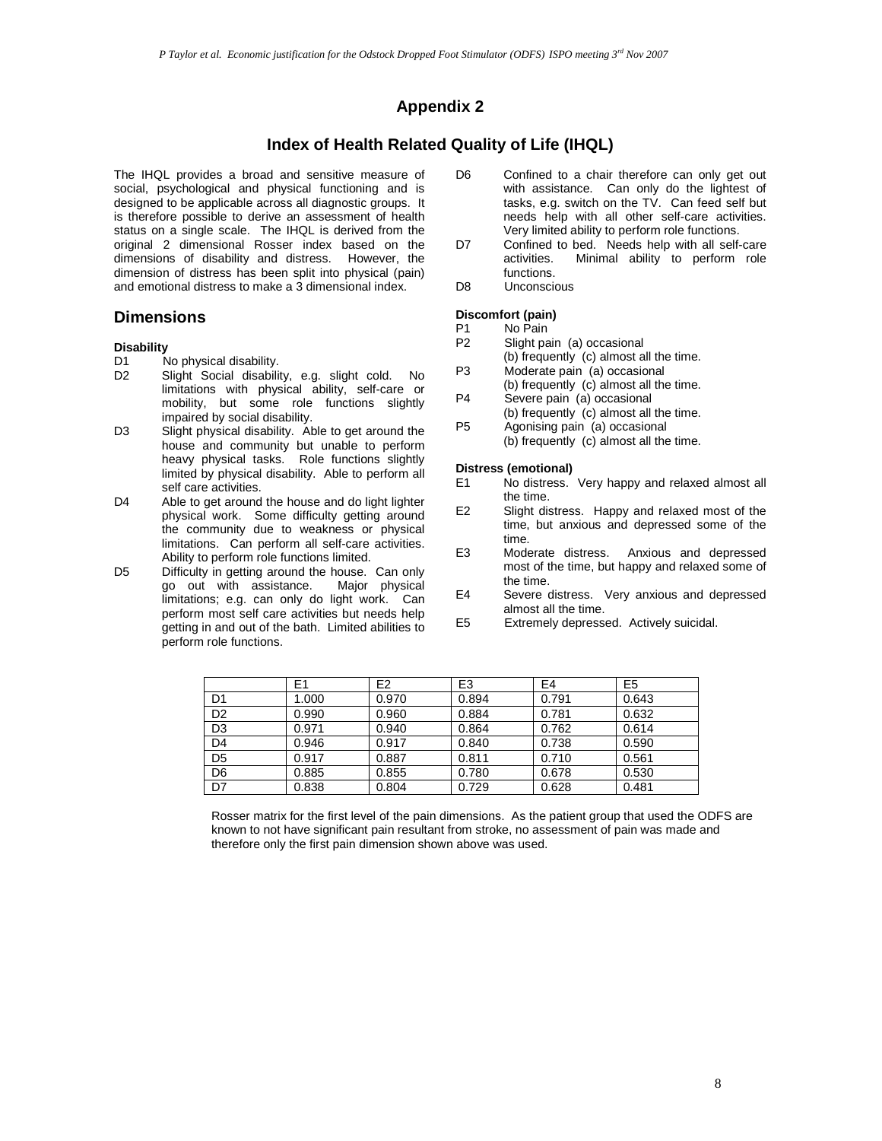# **Appendix 2**

### **Index of Health Related Quality of Life (IHQL)**

The IHQL provides a broad and sensitive measure of social, psychological and physical functioning and is designed to be applicable across all diagnostic groups. It is therefore possible to derive an assessment of health status on a single scale. The IHQL is derived from the original 2 dimensional Rosser index based on the dimensions of disability and distress. However, the dimension of distress has been split into physical (pain) and emotional distress to make a 3 dimensional index.

### **Dimensions**

#### **Disability**

- D1 No physical disability.
- D2 Slight Social disability, e.g. slight cold. No limitations with physical ability, self-care or mobility, but some role functions slightly impaired by social disability.
- D3 Slight physical disability. Able to get around the house and community but unable to perform heavy physical tasks. Role functions slightly limited by physical disability. Able to perform all self care activities.
- D4 Able to get around the house and do light lighter physical work. Some difficulty getting around the community due to weakness or physical limitations. Can perform all self-care activities. Ability to perform role functions limited.
- D5 Difficulty in getting around the house. Can only<br>go out with assistance. Major physical go out with assistance. limitations; e.g. can only do light work. Can perform most self care activities but needs help getting in and out of the bath. Limited abilities to perform role functions.
- D6 Confined to a chair therefore can only get out with assistance. Can only do the lightest of tasks, e.g. switch on the TV. Can feed self but needs help with all other self-care activities. Very limited ability to perform role functions.
- D7 Confined to bed. Needs help with all self-care activities. Minimal ability to perform role functions.
- D8 Unconscious

#### **Discomfort (pain)**

- P1 No Pain<br>P2 Slight pa
- Slight pain (a) occasional
- (b) frequently (c) almost all the time.
- P3 Moderate pain (a) occasional (b) frequently (c) almost all the time.
- P4 Severe pain (a) occasional (b) frequently (c) almost all the time.
- P5 Agonising pain (a) occasional
- (b) frequently (c) almost all the time.

#### **Distress (emotional)**

- E1 No distress. Very happy and relaxed almost all the time.
- E2 Slight distress. Happy and relaxed most of the time, but anxious and depressed some of the time.
- E3 Moderate distress. Anxious and depressed most of the time, but happy and relaxed some of the time.
- E4 Severe distress. Very anxious and depressed almost all the time.
- E5 Extremely depressed. Actively suicidal.

|                | E1    | E <sub>2</sub> | E <sub>3</sub> | E <sub>4</sub> | E <sub>5</sub> |
|----------------|-------|----------------|----------------|----------------|----------------|
| D1             | 1.000 | 0.970          | 0.894          | 0.791          | 0.643          |
| D <sub>2</sub> | 0.990 | 0.960          | 0.884          | 0.781          | 0.632          |
| D <sub>3</sub> | 0.971 | 0.940          | 0.864          | 0.762          | 0.614          |
| D <sub>4</sub> | 0.946 | 0.917          | 0.840          | 0.738          | 0.590          |
| D <sub>5</sub> | 0.917 | 0.887          | 0.811          | 0.710          | 0.561          |
| D <sub>6</sub> | 0.885 | 0.855          | 0.780          | 0.678          | 0.530          |
| D7             | 0.838 | 0.804          | 0.729          | 0.628          | 0.481          |

Rosser matrix for the first level of the pain dimensions. As the patient group that used the ODFS are known to not have significant pain resultant from stroke, no assessment of pain was made and therefore only the first pain dimension shown above was used.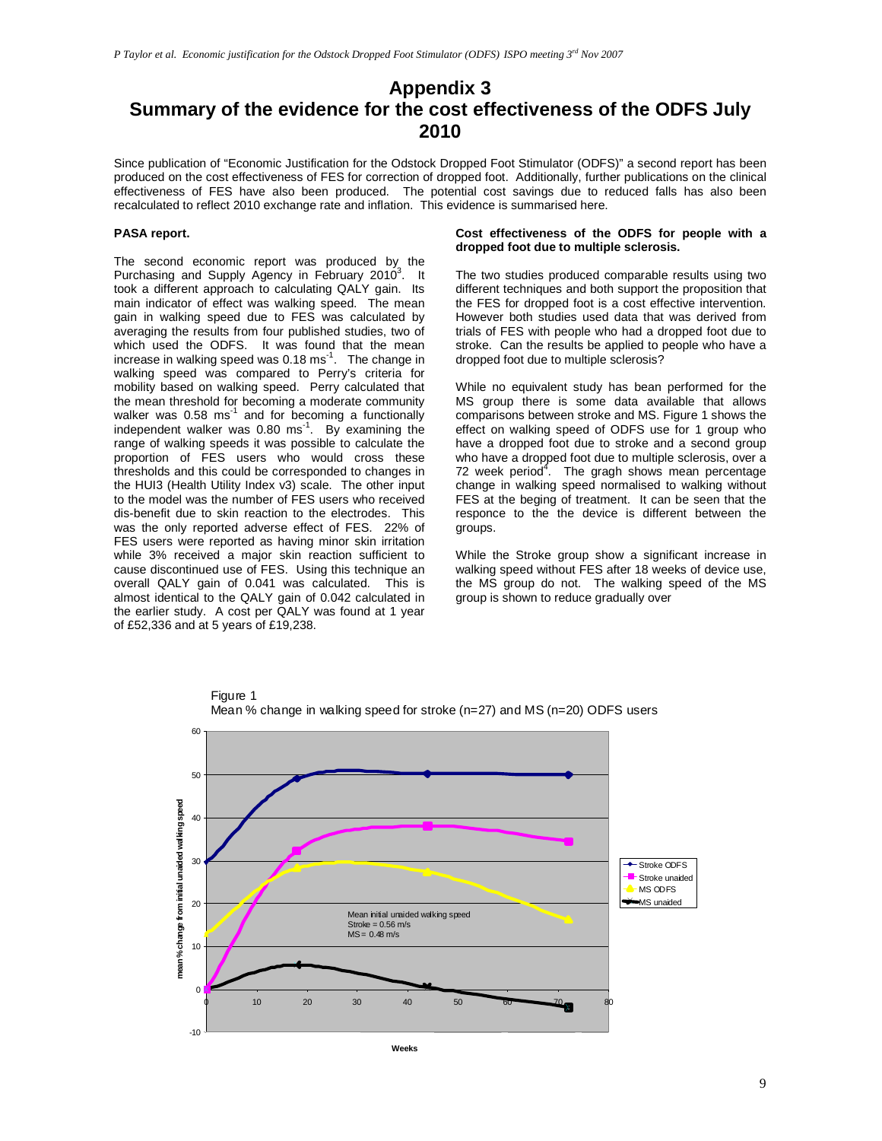# **Appendix 3 Summary of the evidence for the cost effectiveness of the ODFS July 2010**

Since publication of "Economic Justification for the Odstock Dropped Foot Stimulator (ODFS)" a second report has been produced on the cost effectiveness of FES for correction of dropped foot. Additionally, further publications on the clinical effectiveness of FES have also been produced. The potential cost savings due to reduced falls has also been recalculated to reflect 2010 exchange rate and inflation. This evidence is summarised here.

#### **PASA report.**

The second economic report was produced by the Purchasing and Supply Agency in February 2010<sup>3</sup>. It took a different approach to calculating QALY gain. Its main indicator of effect was walking speed. The mean gain in walking speed due to FES was calculated by averaging the results from four published studies, two of which used the ODFS. It was found that the mean increase in walking speed was  $0.18 \text{ ms}^{-1}$ . The change in walking speed was compared to Perry's criteria for mobility based on walking speed. Perry calculated that the mean threshold for becoming a moderate community walker was  $0.58 \text{ ms}^{-1}$  and for becoming a functionally independent walker was  $0.80 \text{ ms}^{-1}$ . By examining the range of walking speeds it was possible to calculate the proportion of FES users who would cross these thresholds and this could be corresponded to changes in the HUI3 (Health Utility Index v3) scale. The other input to the model was the number of FES users who received dis-benefit due to skin reaction to the electrodes. This was the only reported adverse effect of FES. 22% of FES users were reported as having minor skin irritation while 3% received a major skin reaction sufficient to cause discontinued use of FES. Using this technique an overall QALY gain of 0.041 was calculated. This is almost identical to the QALY gain of 0.042 calculated in the earlier study. A cost per QALY was found at 1 year of £52,336 and at 5 years of £19,238.

#### **Cost effectiveness of the ODFS for people with a dropped foot due to multiple sclerosis.**

The two studies produced comparable results using two different techniques and both support the proposition that the FES for dropped foot is a cost effective intervention. However both studies used data that was derived from trials of FES with people who had a dropped foot due to stroke. Can the results be applied to people who have a dropped foot due to multiple sclerosis?

While no equivalent study has bean performed for the MS group there is some data available that allows comparisons between stroke and MS. Figure 1 shows the effect on walking speed of ODFS use for 1 group who have a dropped foot due to stroke and a second group who have a dropped foot due to multiple sclerosis, over a 72 week period<sup>4</sup>. The gragh shows mean percentage change in walking speed normalised to walking without FES at the beging of treatment. It can be seen that the responce to the the device is different between the groups.

While the Stroke group show a significant increase in walking speed without FES after 18 weeks of device use, the MS group do not. The walking speed of the MS group is shown to reduce gradually over



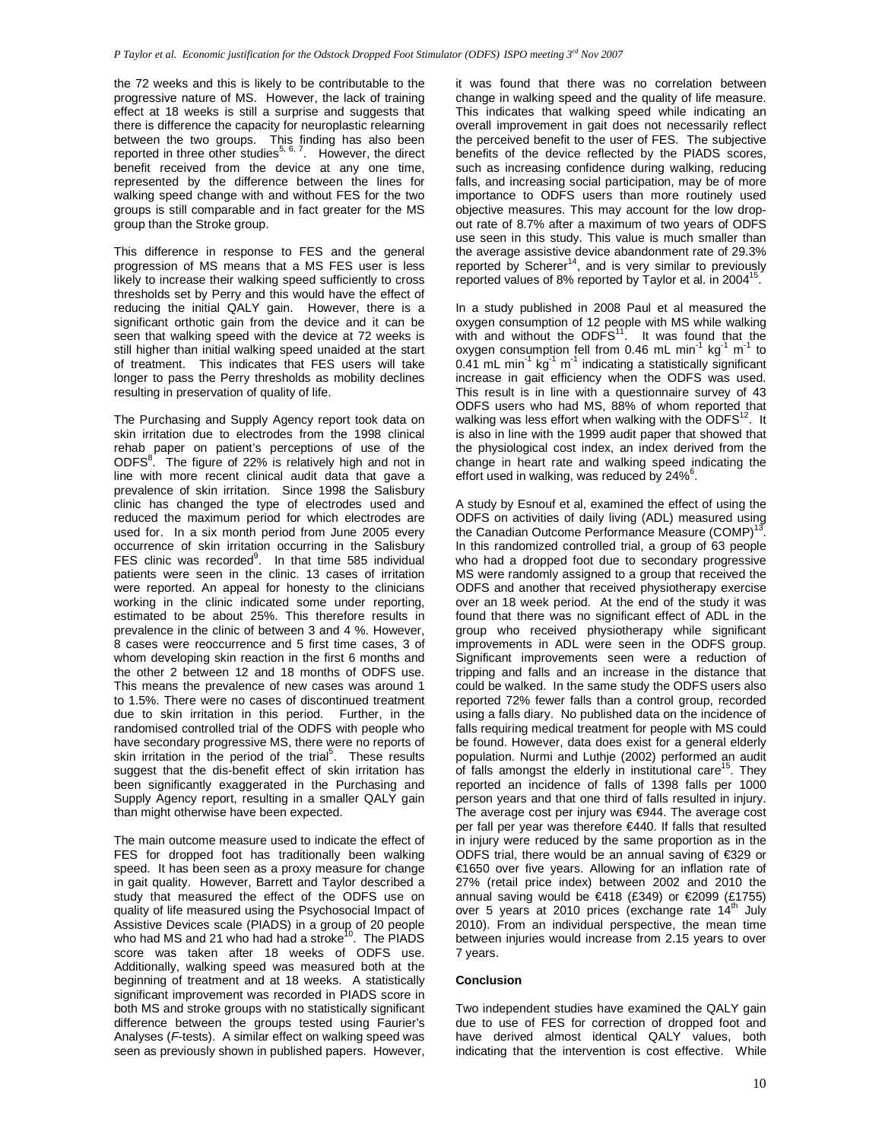the 72 weeks and this is likely to be contributable to the progressive nature of MS. However, the lack of training effect at 18 weeks is still a surprise and suggests that there is difference the capacity for neuroplastic relearning between the two groups. This finding has also been reported in three other studies<sup>5, 6, 7</sup>. However, the direct benefit received from the device at any one time, represented by the difference between the lines for walking speed change with and without FES for the two groups is still comparable and in fact greater for the MS group than the Stroke group.

This difference in response to FES and the general progression of MS means that a MS FES user is less likely to increase their walking speed sufficiently to cross thresholds set by Perry and this would have the effect of reducing the initial QALY gain. However, there is a significant orthotic gain from the device and it can be seen that walking speed with the device at 72 weeks is still higher than initial walking speed unaided at the start of treatment. This indicates that FES users will take longer to pass the Perry thresholds as mobility declines resulting in preservation of quality of life.

The Purchasing and Supply Agency report took data on skin irritation due to electrodes from the 1998 clinical rehab paper on patient's perceptions of use of the ODFS $^8$ . The figure of 22% is relatively high and not in line with more recent clinical audit data that gave a prevalence of skin irritation. Since 1998 the Salisbury clinic has changed the type of electrodes used and reduced the maximum period for which electrodes are used for. In a six month period from June 2005 every occurrence of skin irritation occurring in the Salisbury FES clinic was recorded $9$ . In that time 585 individual patients were seen in the clinic. 13 cases of irritation were reported. An appeal for honesty to the clinicians working in the clinic indicated some under reporting, estimated to be about 25%. This therefore results in prevalence in the clinic of between 3 and 4 %. However, 8 cases were reoccurrence and 5 first time cases, 3 of whom developing skin reaction in the first 6 months and the other 2 between 12 and 18 months of ODFS use. This means the prevalence of new cases was around 1 to 1.5%. There were no cases of discontinued treatment due to skin irritation in this period. Further, in the randomised controlled trial of the ODFS with people who have secondary progressive MS, there were no reports of skin irritation in the period of the trial<sup>5</sup>. These results suggest that the dis-benefit effect of skin irritation has been significantly exaggerated in the Purchasing and Supply Agency report, resulting in a smaller QALY gain than might otherwise have been expected.

The main outcome measure used to indicate the effect of FES for dropped foot has traditionally been walking speed. It has been seen as a proxy measure for change in gait quality. However, Barrett and Taylor described a study that measured the effect of the ODFS use on quality of life measured using the Psychosocial Impact of Assistive Devices scale (PIADS) in a group of 20 people who had MS and 21 who had had a stroke<sup>10</sup>. The PIADS score was taken after 18 weeks of ODFS use. Additionally, walking speed was measured both at the beginning of treatment and at 18 weeks. A statistically significant improvement was recorded in PIADS score in both MS and stroke groups with no statistically significant difference between the groups tested using Faurier's Analyses (F-tests). A similar effect on walking speed was seen as previously shown in published papers. However,

it was found that there was no correlation between change in walking speed and the quality of life measure. This indicates that walking speed while indicating an overall improvement in gait does not necessarily reflect the perceived benefit to the user of FES. The subjective benefits of the device reflected by the PIADS scores, such as increasing confidence during walking, reducing falls, and increasing social participation, may be of more importance to ODFS users than more routinely used objective measures. This may account for the low dropout rate of 8.7% after a maximum of two years of ODFS use seen in this study. This value is much smaller than the average assistive device abandonment rate of 29.3%<br>reported by Scherer<sup>14</sup>, and is very similar to previously reported values of 8% reported by Taylor et al. in 2004<sup>15</sup>.

In a study published in 2008 Paul et al measured the oxygen consumption of 12 people with MS while walking with and without the  $ODFS<sup>11</sup>$ . It was found that the oxygen consumption fell from 0.46 mL min<sup>-1</sup> kg<sup>-1</sup> m<sup>-1</sup> to 0.41 mL min<sup>-1</sup> kg<sup>-1</sup> m<sup>-1</sup> indicating a statistically significant increase in gait efficiency when the ODFS was used. This result is in line with a questionnaire survey of 43 ODFS users who had MS, 88% of whom reported that walking was less effort when walking with the ODFS<sup>12</sup>. It is also in line with the 1999 audit paper that showed that the physiological cost index, an index derived from the change in heart rate and walking speed indicating the effort used in walking, was reduced by 24%<sup>6</sup>.

A study by Esnouf et al, examined the effect of using the ODFS on activities of daily living (ADL) measured using the Canadian Outcome Performance Measure (COMP)<sup>1</sup> . In this randomized controlled trial, a group of 63 people who had a dropped foot due to secondary progressive MS were randomly assigned to a group that received the ODFS and another that received physiotherapy exercise over an 18 week period. At the end of the study it was found that there was no significant effect of ADL in the group who received physiotherapy while significant improvements in ADL were seen in the ODFS group. Significant improvements seen were a reduction of tripping and falls and an increase in the distance that could be walked. In the same study the ODFS users also reported 72% fewer falls than a control group, recorded using a falls diary. No published data on the incidence of falls requiring medical treatment for people with MS could be found. However, data does exist for a general elderly population. Nurmi and Luthje (2002) performed an audit of falls amongst the elderly in institutional care<sup>15</sup>. They reported an incidence of falls of 1398 falls per 1000 person years and that one third of falls resulted in injury. The average cost per injury was  $\epsilon$ 944. The average cost per fall per year was therefore €440. If falls that resulted in injury were reduced by the same proportion as in the ODFS trial, there would be an annual saving of €329 or €1650 over five years. Allowing for an inflation rate of 27% (retail price index) between 2002 and 2010 the annual saving would be €418 (£349) or €2099 (£1755) over 5 years at 2010 prices (exchange rate  $14<sup>th</sup>$  July 2010). From an individual perspective, the mean time between injuries would increase from 2.15 years to over 7 years.

#### **Conclusion**

Two independent studies have examined the QALY gain due to use of FES for correction of dropped foot and have derived almost identical QALY values, both indicating that the intervention is cost effective. While